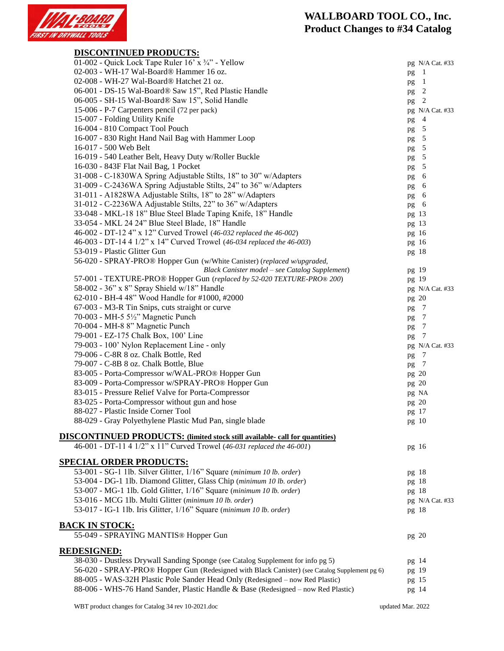

## **WALLBOARD TOOL CO., Inc. Product Changes to #34 Catalog**

| <b>DISCONTINUED PRODUCTS:</b>                                                                 |                       |
|-----------------------------------------------------------------------------------------------|-----------------------|
| 01-002 - Quick Lock Tape Ruler 16' x 3/4" - Yellow                                            | pg N/A Cat. #33       |
| 02-003 - WH-17 Wal-Board® Hammer 16 oz.                                                       | $\overline{1}$<br>pg  |
| 02-008 - WH-27 Wal-Board® Hatchet 21 oz.                                                      | $\overline{1}$<br>pg  |
| 06-001 - DS-15 Wal-Board® Saw 15", Red Plastic Handle                                         | pg 2                  |
| 06-005 - SH-15 Wal-Board® Saw 15", Solid Handle                                               | 2<br>pg               |
| 15-006 - P-7 Carpenters pencil (72 per pack)                                                  | pg N/A Cat. #33       |
| 15-007 - Folding Utility Knife                                                                | $\overline{4}$<br>pg  |
| 16-004 - 810 Compact Tool Pouch                                                               | pg 5                  |
| 16-007 - 830 Right Hand Nail Bag with Hammer Loop                                             | $\overline{5}$<br>pg  |
| 16-017 - 500 Web Belt                                                                         | pg 5                  |
| 16-019 - 540 Leather Belt, Heavy Duty w/Roller Buckle                                         | pg 5                  |
| 16-030 - 843F Flat Nail Bag, 1 Pocket                                                         | pg 5                  |
| 31-008 - C-1830WA Spring Adjustable Stilts, 18" to 30" w/Adapters                             | pg 6                  |
| 31-009 - C-2436WA Spring Adjustable Stilts, 24" to 36" w/Adapters                             | pg 6                  |
| 31-011 - A1828WA Adjustable Stilts, 18" to 28" w/Adapters                                     | pg 6                  |
| 31-012 - C-2236WA Adjustable Stilts, 22" to 36" w/Adapters                                    | pg 6                  |
| 33-048 - MKL-18 18" Blue Steel Blade Taping Knife, 18" Handle                                 | pg 13                 |
| 33-054 - MKL 24 24" Blue Steel Blade, 18" Handle                                              | pg 13                 |
| 46-002 - DT-12 4" x 12" Curved Trowel (46-032 replaced the 46-002)                            | pg 16                 |
| 46-003 - DT-14 4 1/2" x 14" Curved Trowel (46-034 replaced the 46-003)                        | pg 16                 |
| 53-019 - Plastic Glitter Gun                                                                  | pg 18                 |
| 56-020 - SPRAY-PRO® Hopper Gun (w/White Canister) (replaced w/upgraded,                       |                       |
| Black Canister model - see Catalog Supplement)                                                | pg 19                 |
| 57-001 - TEXTURE-PRO® Hopper Gun (replaced by 52-020 TEXTURE-PRO® 200)                        | pg 19                 |
| 58-002 - 36" x 8" Spray Shield w/18" Handle                                                   | pg N/A Cat. #33       |
| 62-010 - BH-4 48" Wood Handle for #1000, #2000                                                | pg 20                 |
| 67-003 - M3-R Tin Snips, cuts straight or curve                                               | $\overline{7}$<br>pg  |
| 70-003 - MH-5 5½" Magnetic Punch                                                              | pg 7                  |
| 70-004 - MH-8 8" Magnetic Punch                                                               | $\overline{7}$        |
| 79-001 - EZ-175 Chalk Box, 100' Line                                                          | pg<br>-7              |
| 79-003 - 100' Nylon Replacement Line - only                                                   | pg<br>pg N/A Cat. #33 |
| 79-006 - C-8R 8 oz. Chalk Bottle, Red                                                         | $\overline{7}$        |
| 79-007 - C-8B 8 oz. Chalk Bottle, Blue                                                        | pg                    |
| 83-005 - Porta-Compressor w/WAL-PRO® Hopper Gun                                               | pg 7                  |
| 83-009 - Porta-Compressor w/SPRAY-PRO® Hopper Gun                                             | pg 20                 |
| 83-015 - Pressure Relief Valve for Porta-Compressor                                           | pg 20                 |
| 83-025 - Porta-Compressor without gun and hose                                                | pg NA                 |
| 88-027 - Plastic Inside Corner Tool                                                           | pg 20                 |
|                                                                                               | pg 17                 |
| 88-029 - Gray Polyethylene Plastic Mud Pan, single blade                                      | pg 10                 |
| <b>DISCONTINUED PRODUCTS:</b> (limited stock still available- call for quantities)            |                       |
| 46-001 - DT-11 4 1/2" x 11" Curved Trowel (46-031 replaced the 46-001)                        | pg 16                 |
|                                                                                               |                       |
| <u>SPECIAL ORDER PRODUCTS:</u>                                                                |                       |
| 53-001 - SG-1 1lb. Silver Glitter, 1/16" Square (minimum 10 lb. order)                        | pg 18                 |
| 53-004 - DG-1 1lb. Diamond Glitter, Glass Chip (minimum 10 lb. order)                         | pg 18                 |
| 53-007 - MG-1 1lb. Gold Glitter, 1/16" Square (minimum 10 lb. order)                          | pg 18                 |
| 53-016 - MCG 1lb. Multi Glitter (minimum 10 lb. order)                                        | pg N/A Cat. #33       |
| 53-017 - IG-1 1lb. Iris Glitter, 1/16" Square (minimum 10 lb. order)                          | pg 18                 |
|                                                                                               |                       |
| <b>BACK IN STOCK:</b>                                                                         |                       |
| 55-049 - SPRAYING MANTIS® Hopper Gun                                                          | pg 20                 |
| <b>REDESIGNED:</b>                                                                            |                       |
| 38-030 - Dustless Drywall Sanding Sponge (see Catalog Supplement for info pg 5)               | pg 14                 |
| 56-020 - SPRAY-PRO® Hopper Gun (Redesigned with Black Canister) (see Catalog Supplement pg 6) |                       |
| 88-005 - WAS-32H Plastic Pole Sander Head Only (Redesigned – now Red Plastic)                 | pg 19                 |
| 88-006 - WHS-76 Hand Sander, Plastic Handle & Base (Redesigned – now Red Plastic)             | pg 15                 |
|                                                                                               | pg 14                 |
|                                                                                               |                       |